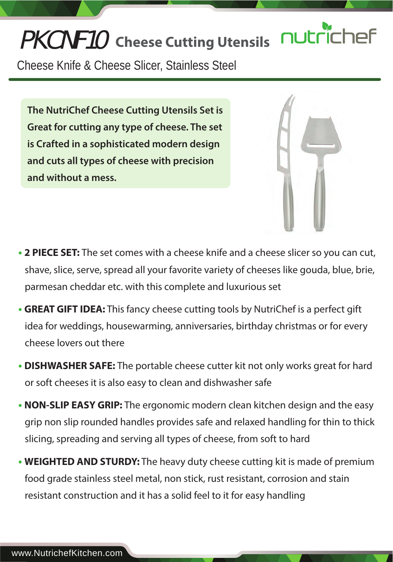# nutrich PKCNF10 **Cheese Cutting Utensils**

Cheese Knife & Cheese Slicer, Stainless Steel

**The NutriChef Cheese Cutting Utensils Set is Great for cutting any type of cheese. The set is Crafted in a sophisticated modern design and cuts all types of cheese with precision and without a mess.**



- **• 2 PIECE SET:** The set comes with a cheese knife and a cheese slicer so you can cut, shave, slice, serve, spread all your favorite variety of cheeses like gouda, blue, brie, parmesan cheddar etc. with this complete and luxurious set
- **• GREAT GIFT IDEA:** This fancy cheese cutting tools by NutriChef is a perfect gift idea for weddings, housewarming, anniversaries, birthday christmas or for every cheese lovers out there
- **• DISHWASHER SAFE:** The portable cheese cutter kit not only works great for hard or soft cheeses it is also easy to clean and dishwasher safe
- **• NON-SLIP EASY GRIP:** The ergonomic modern clean kitchen design and the easy grip non slip rounded handles provides safe and relaxed handling for thin to thick slicing, spreading and serving all types of cheese, from soft to hard
- **• WEIGHTED AND STURDY:** The heavy duty cheese cutting kit is made of premium food grade stainless steel metal, non stick, rust resistant, corrosion and stain resistant construction and it has a solid feel to it for easy handling